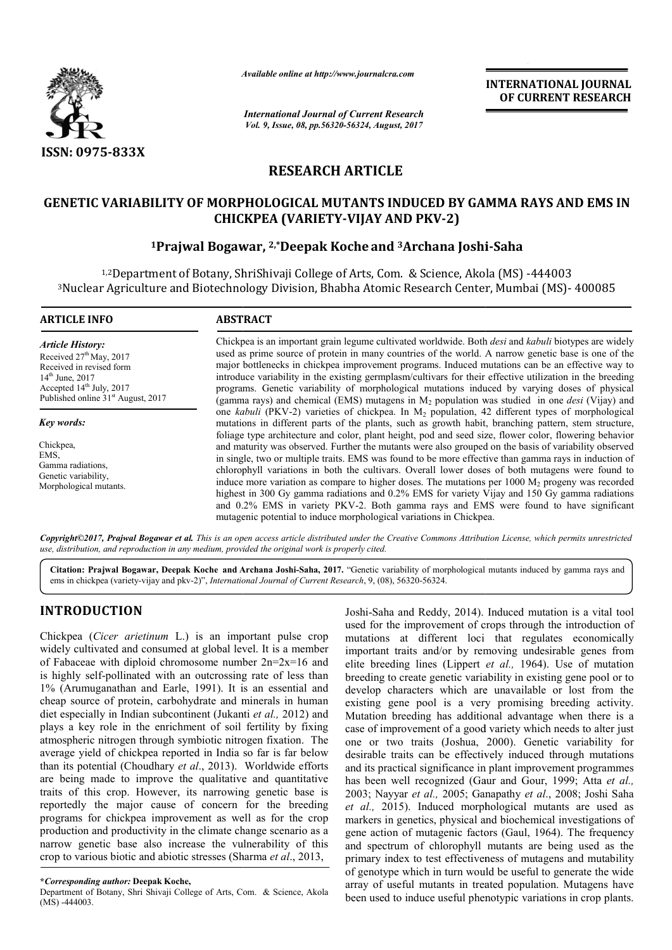

*Available online at http://www.journal http://www.journalcra.com*

*International Journal of Current Research Vol. 9, Issue, 08, pp.56320-56324, August, 2017* **INTERNATIONAL JOURNAL OF CURRENT RESEARCH** 

# **RESEARCH ARTICLE**

## **GENETIC VARIABILITY OF MORPHOLOGICAL MUTANTS INDUCED BY GAMMA RAYS AND EMS IN CHICKPEA (VARIETY (VARIETY-VIJAY AND PKV-2)**

## **1Prajwal Bogawar Prajwal Bogawar, 2,\*Deepak Koche and 3Archana Joshi Archana Joshi-Saha**

<sup>1,2</sup>Department of Botany, ShriShivaji College of Arts, Com. & Science, Akola (MS) -444003 <sup>3</sup>Nuclear Agriculture and Biotechnology Division, Bhabha Atomic Research Center, Mumbai (MS)- 400085

# **ARTICLE INFO ABSTRACT**

*Article History:* Received  $27<sup>th</sup>$  May, 2017 Received in revised form 14th June, 2017 Accepted 14<sup>th</sup> July, 2017 Published online 31<sup>st</sup> August, 2017

*Key words:*

Chickpea, EMS, Gamma radiations, Genetic variability, Morphological mutants.

Chickpea is an important grain legume cultivated worldwide. Both *desi* and *kabuli* biotypes are widely used as prime source of protein in many countries of the world. A narrow genetic base is one of the major bottlenecks in chickpea improvement programs. Induced mutations can be an effective way to introduce variability in the existing germplasm/cultivars for their effective utilization in the breeding programs. Genetic variability of morphological mutations induced by varying doses of physical used as prime source of protein in many countries of the world. A narrow genetic base is one of the major bottlenecks in chickpea improvement programs. Induced mutations can be an effective way to introduce variability in one *kabuli* (PKV-2) varieties of chickpea. In M<sub>2</sub> population, 42 different types of morphological one *kabuli* (PKV-2) varieties of chickpea. In  $M_2$  population, 42 different types of morphological mutations in different parts of the plants, such as growth habit, branching pattern, stem structure, foliage type architecture and color, plant height, pod and seed size, flower color, flowering behavior and maturity was observed. Further the mutants were also grouped on the basis of variability observed in single, two or multiple traits. EMS was found to be more effective than gamma rays in induction of chlorophyll variations in both the cultivars. Overall lower doses of both mutagens were found to induce more variation as compare to higher doses. The mutations per 1000 M<sub>2</sub> progeny was recorded highest in 300 Gy gamma radiations and 0.2% EMS for variety Vijay and 150 Gy gamma radiations and 0.2% EMS in variety PKV PKV-2. Both gamma rays and EMS were found to have significant mutagenic potential to induce morphological variations in Chickpe foliage type architecture and color, plant height, pod and seed size, flower color, flowering behavior and maturity was observed. Further the mutants were also grouped on the basis of variability observed in single, two o highest in 300 Gy gamma radiations and 0.2% EMS for variety Vijay and 150 Gy gamma and 0.2% EMS in variety PKV-2. Both gamma rays and EMS were found to have mutagenic potential to induce morphological variations in Chickpe

*Copyright©2017, Prajwal Bogawar et al. This is an open access article distributed under the Creative Commons Att Attribution License, which ribution which permits unrestricted use, distribution, and reproduction in any medium, provided the original work is properly cited.*

Citation: Prajwal Bogawar, Deepak Koche and Archana Joshi-Saha, 2017. "Genetic variability of morphological mutants induced by gamma rays and ems in chickpea (variety-vijay and pkv-2)", *International Journal of Current Research* , 9, (08), 56320-56324.

## **INTRODUCTION**

Chickpea (*Cicer arietinum* L.) is an important pulse crop widely cultivated and consumed at global level. It is a member of Fabaceae with diploid chromosome number  $2n=2x=16$  and is highly self-pollinated with an outcrossing rate of less than 1% (Arumuganathan and Earle, 1991). It is an essential and cheap source of protein, carbohydrate and minerals in human diet especially in Indian subcontinent (Jukanti *et al.,* 2012) and plays a key role in the enrichment of soil fertility by fixing atmospheric nitrogen through symbiotic nitrogen f fixation. The average yield of chickpea reported in India so far is far below than its potential (Choudhary *et al*., 2013). Worldwide efforts are being made to improve the qualitative and quantitative traits of this crop. However, its narrowing genetic bas base is reportedly the major cause of concern for the breeding programs for chickpea improvement as well as for the crop production and productivity in the climate change scenario as a narrow genetic base also increase the vulnerability of this crop to various biotic and abiotic stresses (Sharma et al., 2013,

Department of Botany, Shri Shivaji College of Arts, Com. & Science, Akola (MS) -444003.

Joshi-Saha and Reddy, 2014). Induced mutation is a vital tool used for the improvement of crops through the introduction of used for the improvement of crops through the introduction of mutations at different loci that regulates economically important traits and/or by removing undesirable genes from elite breeding lines (Lippert *et al.,* 1964). Use of mutation breeding to create genetic variability in existing gene pool or to develop characters which are unavailable or lost from the existing gene pool is a very promising breeding activity. Mutation breeding has additional advantage when there is a case of improvement of a good variety which needs to alter just one or two traits (Joshua, 2000). Genetic variability for desirable traits can be effectively induced through mutations and its practical significance in plant improvement programmes has been well recognized (Gaur and Gour, 1999; Atta et al., 2003; Nayyar *et al.*, 2005; Ganapathy *et al.*, 2008; Joshi Saha *et al.,* 2015). Induced morphological mutants are used as markers in genetics, physical and biochemical investigations of gene action of mutagenic factors (Gaul, 1964). The frequency and spectrum of chlorophyll mutants are being used as the primary index to test effectiveness of mutagens and mutability of genotype which in turn would be useful to generate the wide *et al.*, 2015). Induced morphological mutants are used as markers in genetics, physical and biochemical investigations of gene action of mutagenic factors (Gaul, 1964). The frequency and spectrum of chlorophyll mutants ar been used to induce useful phenotypic variations in crop plants. breeding to create genetic variability in existing gene pool or to develop characters which are unavailable or lost from the existing gene pool is a very promising breeding activity. Mutation breeding has additional advant improvement of a good variety which needs to alter just<br>two traits (Joshua, 2000). Genetic variability for<br>e traits can be effectively induced through mutations<br>practical significance in plant improvement programmes<br>n well INTERNATIONAL JOURNAL<br>
Contraction<br>
Contraction Control Control Control Control Control Control Control Control Control (1998)<br>
ITCLE TS INDUCED BY GAMMA RAYS AND EMS IN<br>
ITCLE TS INDUCED BY GAMMA RAYS AND EMS IN<br>
ITCLE T

**<sup>\*</sup>***Corresponding author:* **Deepak Koche,**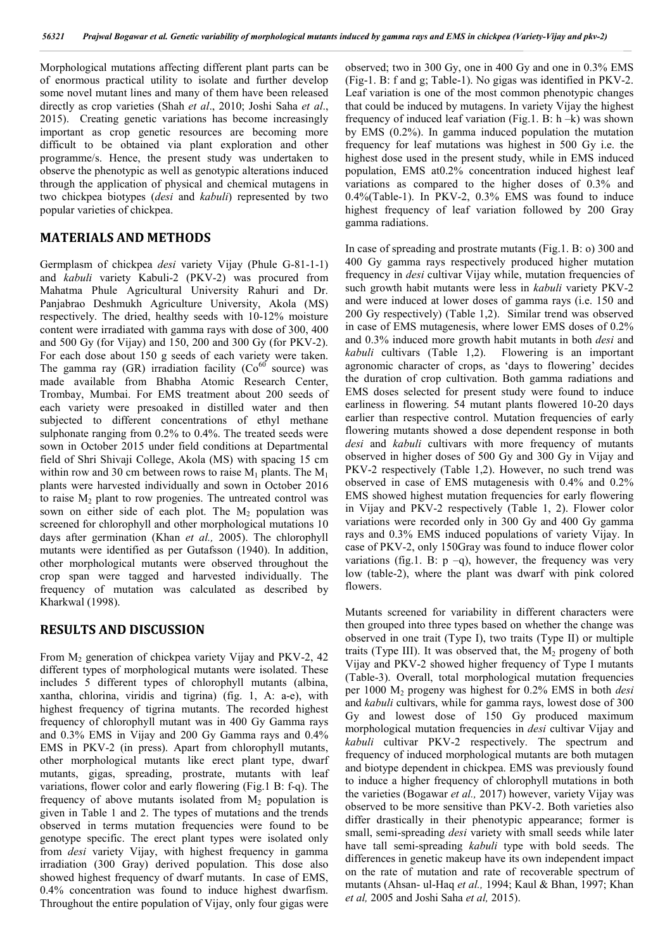Morphological mutations affecting different plant parts can be of enormous practical utility to isolate and further develop some novel mutant lines and many of them have been released directly as crop varieties (Shah *et al*., 2010; Joshi Saha *et al*., 2015). Creating genetic variations has become increasingly important as crop genetic resources are becoming more difficult to be obtained via plant exploration and other programme/s. Hence, the present study was undertaken to observe the phenotypic as well as genotypic alterations induced through the application of physical and chemical mutagens in two chickpea biotypes (*desi* and *kabuli*) represented by two popular varieties of chickpea.

## **MATERIALS AND METHODS**

Germplasm of chickpea *desi* variety Vijay (Phule G-81-1-1) and *kabuli* variety Kabuli-2 (PKV-2) was procured from Mahatma Phule Agricultural University Rahuri and Dr. Panjabrao Deshmukh Agriculture University, Akola (MS) respectively. The dried, healthy seeds with 10-12% moisture content were irradiated with gamma rays with dose of 300, 400 and 500 Gy (for Vijay) and 150, 200 and 300 Gy (for PKV-2). For each dose about 150 g seeds of each variety were taken. The gamma ray  $(GR)$  irradiation facility  $(Co<sup>60</sup>$  source) was made available from Bhabha Atomic Research Center, Trombay, Mumbai. For EMS treatment about 200 seeds of each variety were presoaked in distilled water and then subjected to different concentrations of ethyl methane sulphonate ranging from 0.2% to 0.4%. The treated seeds were sown in October 2015 under field conditions at Departmental field of Shri Shivaji College, Akola (MS) with spacing 15 cm within row and 30 cm between rows to raise  $M_1$  plants. The  $M_1$ plants were harvested individually and sown in October 2016 to raise  $M_2$  plant to row progenies. The untreated control was sown on either side of each plot. The  $M_2$  population was screened for chlorophyll and other morphological mutations 10 days after germination (Khan *et al.,* 2005). The chlorophyll mutants were identified as per Gutafsson (1940). In addition, other morphological mutants were observed throughout the crop span were tagged and harvested individually. The frequency of mutation was calculated as described by Kharkwal (1998).

## **RESULTS AND DISCUSSION**

From  $M_2$  generation of chickpea variety Vijay and PKV-2, 42 different types of morphological mutants were isolated. These includes 5 different types of chlorophyll mutants (albina, xantha, chlorina, viridis and tigrina) (fig. 1, A: a-e), with highest frequency of tigrina mutants. The recorded highest frequency of chlorophyll mutant was in 400 Gy Gamma rays and 0.3% EMS in Vijay and 200 Gy Gamma rays and 0.4% EMS in PKV-2 (in press). Apart from chlorophyll mutants, other morphological mutants like erect plant type, dwarf mutants, gigas, spreading, prostrate, mutants with leaf variations, flower color and early flowering (Fig.1 B: f-q). The frequency of above mutants isolated from  $M<sub>2</sub>$  population is given in Table 1 and 2. The types of mutations and the trends observed in terms mutation frequencies were found to be genotype specific. The erect plant types were isolated only from *desi* variety Vijay, with highest frequency in gamma irradiation (300 Gray) derived population. This dose also showed highest frequency of dwarf mutants. In case of EMS, 0.4% concentration was found to induce highest dwarfism. Throughout the entire population of Vijay, only four gigas were

observed; two in 300 Gy, one in 400 Gy and one in 0.3% EMS (Fig-1. B: f and g; Table-1). No gigas was identified in PKV-2. Leaf variation is one of the most common phenotypic changes that could be induced by mutagens. In variety Vijay the highest frequency of induced leaf variation (Fig.1. B: h –k) was shown by EMS (0.2%). In gamma induced population the mutation frequency for leaf mutations was highest in 500 Gy i.e. the highest dose used in the present study, while in EMS induced population, EMS at0.2% concentration induced highest leaf variations as compared to the higher doses of 0.3% and 0.4%(Table-1). In PKV-2, 0.3% EMS was found to induce highest frequency of leaf variation followed by 200 Gray gamma radiations.

In case of spreading and prostrate mutants (Fig.1. B: o) 300 and 400 Gy gamma rays respectively produced higher mutation frequency in *desi* cultivar Vijay while, mutation frequencies of such growth habit mutants were less in *kabuli* variety PKV-2 and were induced at lower doses of gamma rays (i.e. 150 and 200 Gy respectively) (Table 1,2). Similar trend was observed in case of EMS mutagenesis, where lower EMS doses of 0.2% and 0.3% induced more growth habit mutants in both *desi* and *kabuli* cultivars (Table 1,2). Flowering is an important agronomic character of crops, as 'days to flowering' decides the duration of crop cultivation. Both gamma radiations and EMS doses selected for present study were found to induce earliness in flowering. 54 mutant plants flowered 10-20 days earlier than respective control. Mutation frequencies of early flowering mutants showed a dose dependent response in both *desi* and *kabuli* cultivars with more frequency of mutants observed in higher doses of 500 Gy and 300 Gy in Vijay and PKV-2 respectively (Table 1,2). However, no such trend was observed in case of EMS mutagenesis with 0.4% and 0.2% EMS showed highest mutation frequencies for early flowering in Vijay and PKV-2 respectively (Table 1, 2). Flower color variations were recorded only in 300 Gy and 400 Gy gamma rays and 0.3% EMS induced populations of variety Vijay. In case of PKV-2, only 150Gray was found to induce flower color variations (fig.1. B:  $p -q$ ), however, the frequency was very low (table-2), where the plant was dwarf with pink colored flowers.

Mutants screened for variability in different characters were then grouped into three types based on whether the change was observed in one trait (Type I), two traits (Type II) or multiple traits (Type III). It was observed that, the  $M_2$  progeny of both Vijay and PKV-2 showed higher frequency of Type I mutants (Table-3). Overall, total morphological mutation frequencies per 1000 M2 progeny was highest for 0.2% EMS in both *desi* and *kabuli* cultivars, while for gamma rays, lowest dose of 300 Gy and lowest dose of 150 Gy produced maximum morphological mutation frequencies in *desi* cultivar Vijay and *kabuli* cultivar PKV-2 respectively. The spectrum and frequency of induced morphological mutants are both mutagen and biotype dependent in chickpea. EMS was previously found to induce a higher frequency of chlorophyll mutations in both the varieties (Bogawar *et al.,* 2017) however, variety Vijay was observed to be more sensitive than PKV-2. Both varieties also differ drastically in their phenotypic appearance; former is small, semi-spreading *desi* variety with small seeds while later have tall semi-spreading *kabuli* type with bold seeds. The differences in genetic makeup have its own independent impact on the rate of mutation and rate of recoverable spectrum of mutants (Ahsan- ul-Haq *et al.,* 1994; Kaul & Bhan, 1997; Khan *et al,* 2005 and Joshi Saha *et al,* 2015).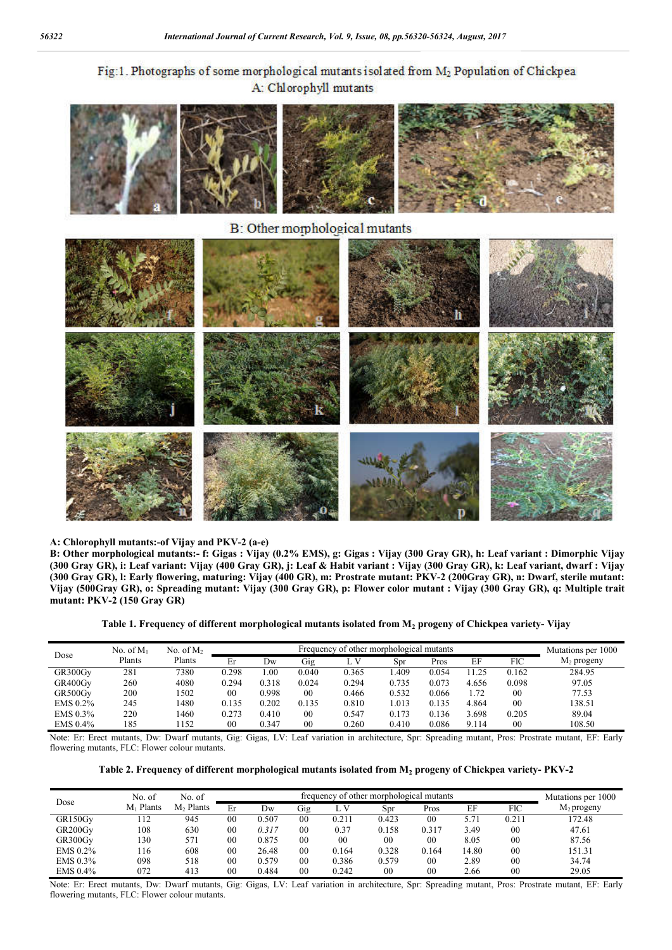# Fig:1. Photographs of some morphological mutants isolated from M<sub>2</sub> Population of Chickpea A: Chlorophyll mutants



#### **A: Chlorophyll mutants:-of Vijay and PKV-2 (a-e)**

**B: Other morphological mutants:- f: Gigas : Vijay (0.2% EMS), g: Gigas : Vijay (300 Gray GR), h: Leaf variant : Dimorphic Vijay (300 Gray GR), i: Leaf variant: Vijay (400 Gray GR), j: Leaf & Habit variant : Vijay (300 Gray GR), k: Leaf variant, dwarf : Vijay (300 Gray GR), l: Early flowering, maturing: Vijay (400 GR), m: Prostrate mutant: PKV-2 (200Gray GR), n: Dwarf, sterile mutant: Vijay (500Gray GR), o: Spreading mutant: Vijay (300 Gray GR), p: Flower color mutant : Vijay (300 Gray GR), q: Multiple trait mutant: PKV-2 (150 Gray GR)**

**Table 1. Frequency of different morphological mutants isolated from M2 progeny of Chickpea variety- Vijay**

| Dose       | No. of $M_1$ | No. of $M2$ | Frequency of other morphological mutants |       |        |       |       |       |       |                | Mutations per 1000 |
|------------|--------------|-------------|------------------------------------------|-------|--------|-------|-------|-------|-------|----------------|--------------------|
|            | Plants       | Plants      | Er                                       | Dw    | Gig    | L V   | Spr   | Pros  | EF    | <b>FIC</b>     | $M_2$ progeny      |
| GR300Gv    | 281          | 7380        | 0.298                                    | 1.00  | 0.040  | 0.365 | .409  | 0.054 | 1.25  | 0.162          | 284.95             |
| GR400Gv    | 260          | 4080        | 0.294                                    | 0.318 | 0.024  | 0.294 | 0.735 | 0.073 | 4.656 | 0.098          | 97.05              |
| GR500Gy    | 200          | 1502        | 00                                       | 0.998 | $00\,$ | 0.466 | 0.532 | 0.066 | 1.72  | 00             | 77.53              |
| EMS 0.2%   | 245          | 1480        | 0.135                                    | 0.202 | 0.135  | 0.810 | 1.013 | 0.135 | 4.864 | 0 <sub>0</sub> | 138.51             |
| $EMS$ 0.3% | 220          | 1460        | 0.273                                    | 0.410 | $00\,$ | 0.547 | 0.173 | 0.136 | 3.698 | 0.205          | 89.04              |
| $EMS$ 0.4% | 185          | 1152        | 00                                       | 0.347 | 00     | 0.260 | 0.410 | 0.086 | 9.114 | 00             | 108.50             |

Note: Er: Erect mutants, Dw: Dwarf mutants, Gig: Gigas, LV: Leaf variation in architecture, Spr: Spreading mutant, Pros: Prostrate mutant, EF: Early flowering mutants, FLC: Flower colour mutants.

**Table 2. Frequency of different morphological mutants isolated from M2 progeny of Chickpea variety- PKV-2**

| Dose     | No. of       | No. of                | frequency of other morphological mutants |       |                |       |       |        |             |                | Mutations per 1000 |
|----------|--------------|-----------------------|------------------------------------------|-------|----------------|-------|-------|--------|-------------|----------------|--------------------|
|          | Plants<br>Mı | M <sub>2</sub> Plants | Er                                       | Dw    | Gig            | L V   | Spr   | Pros   | EF          | FIC            | $M_2$ progeny      |
| GR150Gy  | 112          | 945                   | 00                                       | 0.507 | 00             | 0.211 | 0.423 | 00     | $5.7^\circ$ | 0.211          | 172.48             |
| GR200Gv  | 108          | 630                   | 0 <sub>0</sub>                           | 0.317 | 0 <sup>0</sup> | 0.37  | 0.158 | 0.317  | 3.49        | 00             | 47.61              |
| GR300Gv  | 130          | 571                   | 00                                       | 0.875 | 0 <sub>0</sub> | 00    | 00    | 00     | 8.05        | 00             | 87.56              |
| EMS 0.2% | 116          | 608                   | 0 <sup>0</sup>                           | 26.48 | 00             | 0.164 | 0.328 | 0.164  | 14.80       | 00             | 151.31             |
| EMS 0.3% | 098          | 518                   | 00                                       | 0.579 | 0 <sup>0</sup> | 0.386 | 0.579 | 00     | 2.89        | 00             | 34.74              |
| EMS 0.4% | 072          | 413                   | 00                                       | 0.484 | 0 <sub>0</sub> | 0.242 | 00    | $00\,$ | 2.66        | 0 <sub>0</sub> | 29.05              |

Note: Er: Erect mutants, Dw: Dwarf mutants, Gig: Gigas, LV: Leaf variation in architecture, Spr: Spreading mutant, Pros: Prostrate mutant, EF: Early flowering mutants, FLC: Flower colour mutants.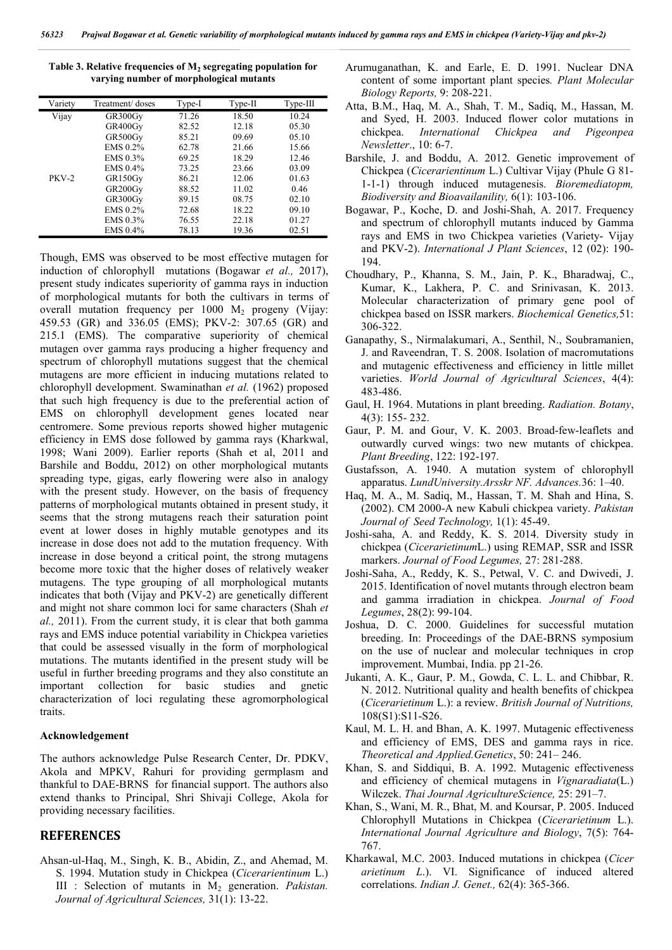| Variety      | Treatment/ doses                 | Type-I | Type-II | $Type-III$ |
|--------------|----------------------------------|--------|---------|------------|
| Vijay        | GR300Gy                          | 71.26  | 18.50   | 10.24      |
|              | GR400Gv                          | 82.52  | 12.18   | 05.30      |
|              | GR500Gy                          | 85.21  | 09.69   | 0.5.10     |
|              | EMS 0.2%                         | 62.78  | 21.66   | 15.66      |
|              | EMS 0.3%                         | 69.25  | 18.29   | 12.46      |
|              | EMS 0.4%                         | 73.25  | 23.66   | 03.09      |
| <b>PKV-2</b> | GR150Gy                          | 86.21  | 12.06   | 01.63      |
|              | GR <sub>200</sub> G <sub>V</sub> | 88.52  | 11.02   | 0.46       |
|              | GR300Gy                          | 89.15  | 08.75   | 02.10      |
|              | EMS 0.2%                         | 72.68  | 18.22   | 09.10      |
|              | EMS 0.3%                         | 76.55  | 22.18   | 01.27      |
|              | EMS 0.4%                         | 78.13  | 19.36   | 02.51      |

Table 3. Relative frequencies of M<sub>2</sub> segregating population for **varying number of morphological mutants**

Though, EMS was observed to be most effective mutagen for induction of chlorophyll mutations (Bogawar *et al.,* 2017), present study indicates superiority of gamma rays in induction of morphological mutants for both the cultivars in terms of overall mutation frequency per  $1000$  M<sub>2</sub> progeny (Vijay: 459.53 (GR) and 336.05 (EMS); PKV-2: 307.65 (GR) and 215.1 (EMS). The comparative superiority of chemical mutagen over gamma rays producing a higher frequency and spectrum of chlorophyll mutations suggest that the chemical mutagens are more efficient in inducing mutations related to chlorophyll development. Swaminathan *et al.* (1962) proposed that such high frequency is due to the preferential action of EMS on chlorophyll development genes located near centromere. Some previous reports showed higher mutagenic efficiency in EMS dose followed by gamma rays (Kharkwal, 1998; Wani 2009). Earlier reports (Shah et al, 2011 and Barshile and Boddu, 2012) on other morphological mutants spreading type, gigas, early flowering were also in analogy with the present study. However, on the basis of frequency patterns of morphological mutants obtained in present study, it seems that the strong mutagens reach their saturation point event at lower doses in highly mutable genotypes and its increase in dose does not add to the mutation frequency. With increase in dose beyond a critical point, the strong mutagens become more toxic that the higher doses of relatively weaker mutagens. The type grouping of all morphological mutants indicates that both (Vijay and PKV-2) are genetically different and might not share common loci for same characters (Shah *et al.,* 2011). From the current study, it is clear that both gamma rays and EMS induce potential variability in Chickpea varieties that could be assessed visually in the form of morphological mutations. The mutants identified in the present study will be useful in further breeding programs and they also constitute an important collection for basic studies and gnetic characterization of loci regulating these agromorphological traits.

### **Acknowledgement**

The authors acknowledge Pulse Research Center, Dr. PDKV, Akola and MPKV, Rahuri for providing germplasm and thankful to DAE-BRNS for financial support. The authors also extend thanks to Principal, Shri Shivaji College, Akola for providing necessary facilities.

### **REFERENCES**

Ahsan-ul-Haq, M., Singh, K. B., Abidin, Z., and Ahemad, M. S. 1994. Mutation study in Chickpea (*Cicerarientinum* L.) III : Selection of mutants in M<sub>2</sub> generation. *Pakistan. Journal of Agricultural Sciences,* 31(1): 13-22.

- Arumuganathan, K. and Earle, E. D. 1991. Nuclear DNA content of some important plant species*. Plant Molecular Biology Reports,* 9: 208-221.
- Atta, B.M., Haq, M. A., Shah, T. M., Sadiq, M., Hassan, M. and Syed, H. 2003. Induced flower color mutations in chickpea. *International Chickpea and Pigeonpea Newsletter*., 10: 6-7.
- Barshile, J. and Boddu, A. 2012. Genetic improvement of Chickpea (*Cicerarientinum* L.) Cultivar Vijay (Phule G 81- 1-1-1) through induced mutagenesis. *Bioremediatopm, Biodiversity and Bioavailanility,* 6(1): 103-106.
- Bogawar, P., Koche, D. and Joshi-Shah, A. 2017. Frequency and spectrum of chlorophyll mutants induced by Gamma rays and EMS in two Chickpea varieties (Variety- Vijay and PKV-2). *International J Plant Sciences*, 12 (02): 190- 194.
- Choudhary, P., Khanna, S. M., Jain, P. K., Bharadwaj, C., Kumar, K., Lakhera, P. C. and Srinivasan, K. 2013. Molecular characterization of primary gene pool of chickpea based on ISSR markers. *Biochemical Genetics,*51: 306-322.
- Ganapathy, S., Nirmalakumari, A., Senthil, N., Soubramanien, J. and Raveendran, T. S. 2008. Isolation of macromutations and mutagenic effectiveness and efficiency in little millet varieties. *World Journal of Agricultural Sciences*, 4(4): 483-486.
- Gaul, H. 1964. Mutations in plant breeding. *Radiation. Botany*, 4(3): 155- 232.
- Gaur, P. M. and Gour, V. K. 2003. Broad-few-leaflets and outwardly curved wings: two new mutants of chickpea. *Plant Breeding*, 122: 192-197.
- Gustafsson, A. 1940. A mutation system of chlorophyll apparatus. *LundUniversity.Arsskr NF. Advances.*36: 1–40.
- Haq, M. A., M. Sadiq, M., Hassan, T. M. Shah and Hina, S. (2002). CM 2000-A new Kabuli chickpea variety. *Pakistan Journal of Seed Technology,* 1(1): 45-49.
- Joshi-saha, A. and Reddy, K. S. 2014. Diversity study in chickpea (*Cicerarietinum*L.) using REMAP, SSR and ISSR markers. *Journal of Food Legumes,* 27: 281-288.
- Joshi-Saha, A., Reddy, K. S., Petwal, V. C. and Dwivedi, J. 2015. Identification of novel mutants through electron beam and gamma irradiation in chickpea. *Journal of Food Legumes*, 28(2): 99-104.
- Joshua, D. C. 2000. Guidelines for successful mutation breeding. In: Proceedings of the DAE-BRNS symposium on the use of nuclear and molecular techniques in crop improvement. Mumbai, India. pp 21-26.
- Jukanti, A. K., Gaur, P. M., Gowda, C. L. L. and Chibbar, R. N. 2012. Nutritional quality and health benefits of chickpea (*Cicerarietinum* L.): a review. *British Journal of Nutritions,* 108(S1):S11-S26.
- Kaul, M. L. H. and Bhan, A. K. 1997. Mutagenic effectiveness and efficiency of EMS, DES and gamma rays in rice. *Theoretical and Applied.Genetics*, 50: 241– 246.
- Khan, S. and Siddiqui, B. A. 1992. Mutagenic effectiveness and efficiency of chemical mutagens in *Vignaradiata*(L.) Wilczek. *Thai Journal AgricultureScience,* 25: 291–7.
- Khan, S., Wani, M. R., Bhat, M. and Koursar, P. 2005. Induced Chlorophyll Mutations in Chickpea (*Cicerarietinum* L.). *International Journal Agriculture and Biology*, 7(5): 764- 767.
- Kharkawal, M.C. 2003. Induced mutations in chickpea (*Cicer arietinum L*.). VI. Significance of induced altered correlations. *Indian J. Genet.,* 62(4): 365-366.